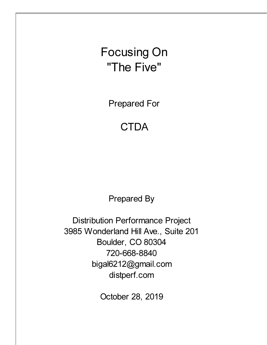Focusing On "The Five"

Prepared For

## **CTDA**

Prepared By

Distribution Performance Project 3985 Wonderland Hill Ave., Suite 201 Boulder, CO 80304 720-668-8840 bigal6212@gmail.com distperf.com

October 28, 2019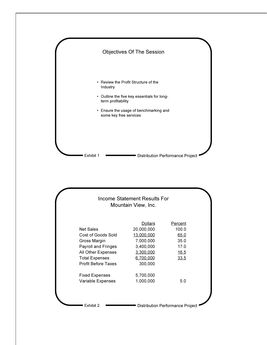

|                            | <b>Dollars</b> | Percent     |
|----------------------------|----------------|-------------|
| <b>Net Sales</b>           | 20,000,000     | 100.0       |
| Cost of Goods Sold         | 13,000,000     | 65.0        |
| Gross Margin               | 7,000,000      | 35.0        |
| Payroll and Fringes        | 3,400,000      | 17.0        |
| All Other Expenses         | 3,300,000      | <u>16.5</u> |
| <b>Total Expenses</b>      | 6,700,000      | 33.5        |
| <b>Profit Before Taxes</b> | 300,000        |             |
| <b>Fixed Expenses</b>      | 5,700,000      |             |
| Variable Expenses          | 1,000,000      | 5.0         |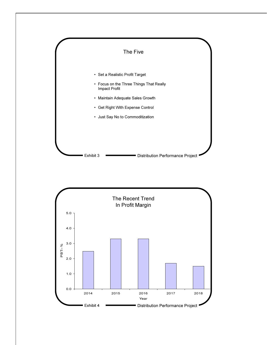

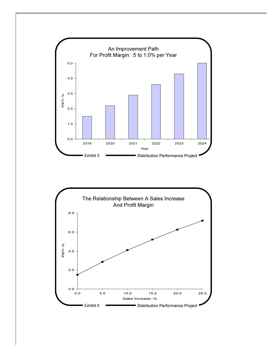

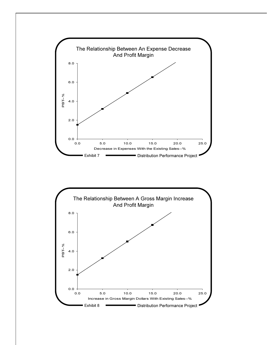

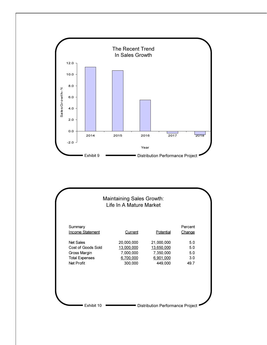

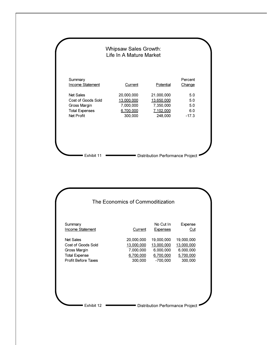

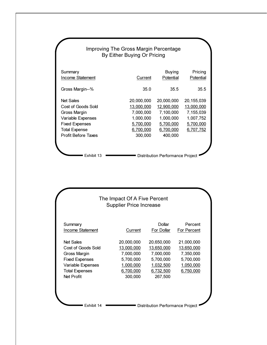| Improving The Gross Margin Percentage<br>By Either Buying Or Pricing |            |                                         |            |  |  |
|----------------------------------------------------------------------|------------|-----------------------------------------|------------|--|--|
| Summary                                                              |            | <b>Buying</b>                           | Pricing    |  |  |
| Income Statement                                                     | Current    | Potential                               | Potential  |  |  |
| Gross Margin--%                                                      | 35.0       | 35.5                                    | 35.5       |  |  |
| <b>Net Sales</b>                                                     | 20,000,000 | 20,000,000                              | 20,155,039 |  |  |
| Cost of Goods Sold                                                   | 13,000,000 | 12,900,000                              | 13,000,000 |  |  |
| Gross Margin                                                         | 7,000,000  | 7,100,000                               | 7,155,039  |  |  |
| Variable Expenses                                                    | 1,000,000  | 1,000,000                               | 1,007,752  |  |  |
| <b>Fixed Expenses</b>                                                | 5,700,000  | 5,700,000                               | 5,700,000  |  |  |
| <b>Total Expense</b>                                                 | 6,700,000  | 6,700,000                               | 6,707,752  |  |  |
| <b>Profit Before Taxes</b>                                           | 300,000    | 400,000                                 |            |  |  |
| <b>Fxhibit 13</b>                                                    |            | <b>Distribution Performance Project</b> |            |  |  |

| Summary               |            | Dollar     | Percent     |
|-----------------------|------------|------------|-------------|
| Income Statement      | Current    | For Dollar | For Percent |
| <b>Net Sales</b>      | 20,000,000 | 20,650,000 | 21,000,000  |
| Cost of Goods Sold    | 13,000,000 | 13,650,000 | 13,650,000  |
| Gross Margin          | 7,000,000  | 7,000,000  | 7,350,000   |
| <b>Fixed Expenses</b> | 5,700,000  | 5,700,000  | 5,700,000   |
| Variable Expenses     | 1,000,000  | 1,032,500  | 1,050,000   |
| <b>Total Expenses</b> | 6,700,000  | 6,732,500  | 6,750,000   |
| <b>Net Profit</b>     | 300,000    | 267,500    |             |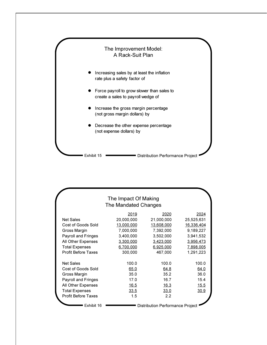

| The Impact Of Making       |                                         |             |            |  |  |  |
|----------------------------|-----------------------------------------|-------------|------------|--|--|--|
| The Mandated Changes       |                                         |             |            |  |  |  |
|                            | 2019                                    | 2020        | 2024       |  |  |  |
| <b>Net Sales</b>           | 20,000,000                              | 21,000,000  | 25,525,631 |  |  |  |
| Cost of Goods Sold         | 13,000,000                              | 13,608,000  | 16,336,404 |  |  |  |
| Gross Margin               | 7,000,000                               | 7,392,000   | 9,189,227  |  |  |  |
| <b>Payroll and Fringes</b> | 3,400,000                               | 3,502,000   | 3,941,532  |  |  |  |
| All Other Expenses         | 3,300,000                               | 3,423,000   | 3,956,473  |  |  |  |
| <b>Total Expenses</b>      | 6,700,000                               | 6,925,000   | 7,898,005  |  |  |  |
| <b>Profit Before Taxes</b> | 300,000                                 | 467,000     | 1,291,223  |  |  |  |
|                            |                                         |             |            |  |  |  |
| <b>Net Sales</b>           | 100.0                                   | 100.0       | 100.0      |  |  |  |
| Cost of Goods Sold         | 65.0                                    | 64.8        | 64.0       |  |  |  |
| Gross Margin               | 35.0                                    | 35.2        | 36.0       |  |  |  |
| Payroll and Fringes        | 17.0                                    | 16.7        | 15.4       |  |  |  |
| All Other Expenses         | <u>16.5</u>                             | <u>16.3</u> | 15.5       |  |  |  |
| <b>Total Expenses</b>      | 33.5                                    | 33.0        | 30.9       |  |  |  |
| <b>Profit Before Taxes</b> | 1.5                                     | 2.2         |            |  |  |  |
| Exhibit 16                 | <b>Distribution Performance Project</b> |             |            |  |  |  |